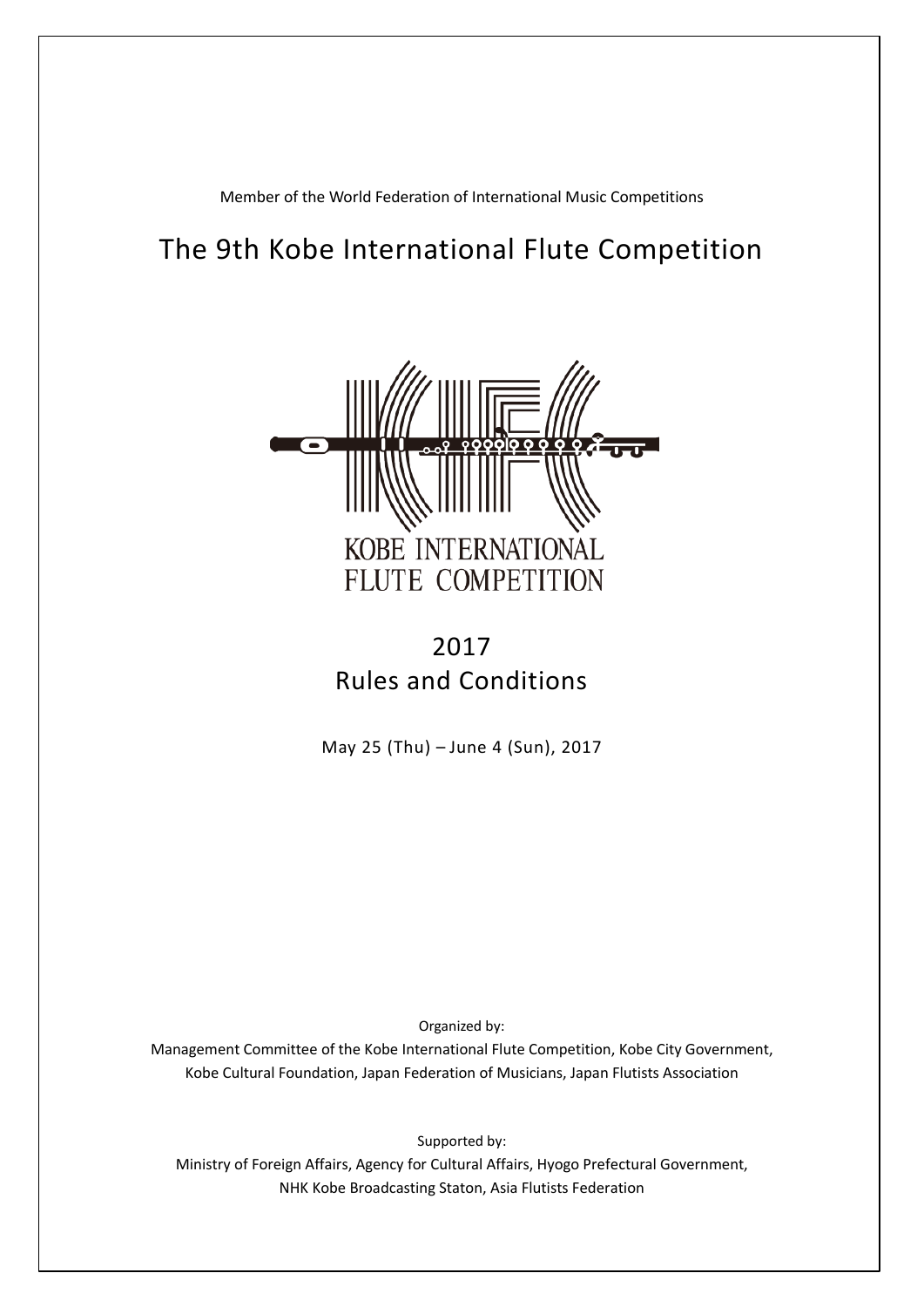Member of the World Federation of International Music Competitions

# The 9th Kobe International Flute Competition



# 2017 Rules and Conditions

May 25 (Thu) – June 4 (Sun), 2017

Organized by:

Management Committee of the Kobe International Flute Competition, Kobe City Government, Kobe Cultural Foundation, Japan Federation of Musicians, Japan Flutists Association

Supported by: Ministry of Foreign Affairs, Agency for Cultural Affairs, Hyogo Prefectural Government, NHK Kobe Broadcasting Staton, Asia Flutists Federation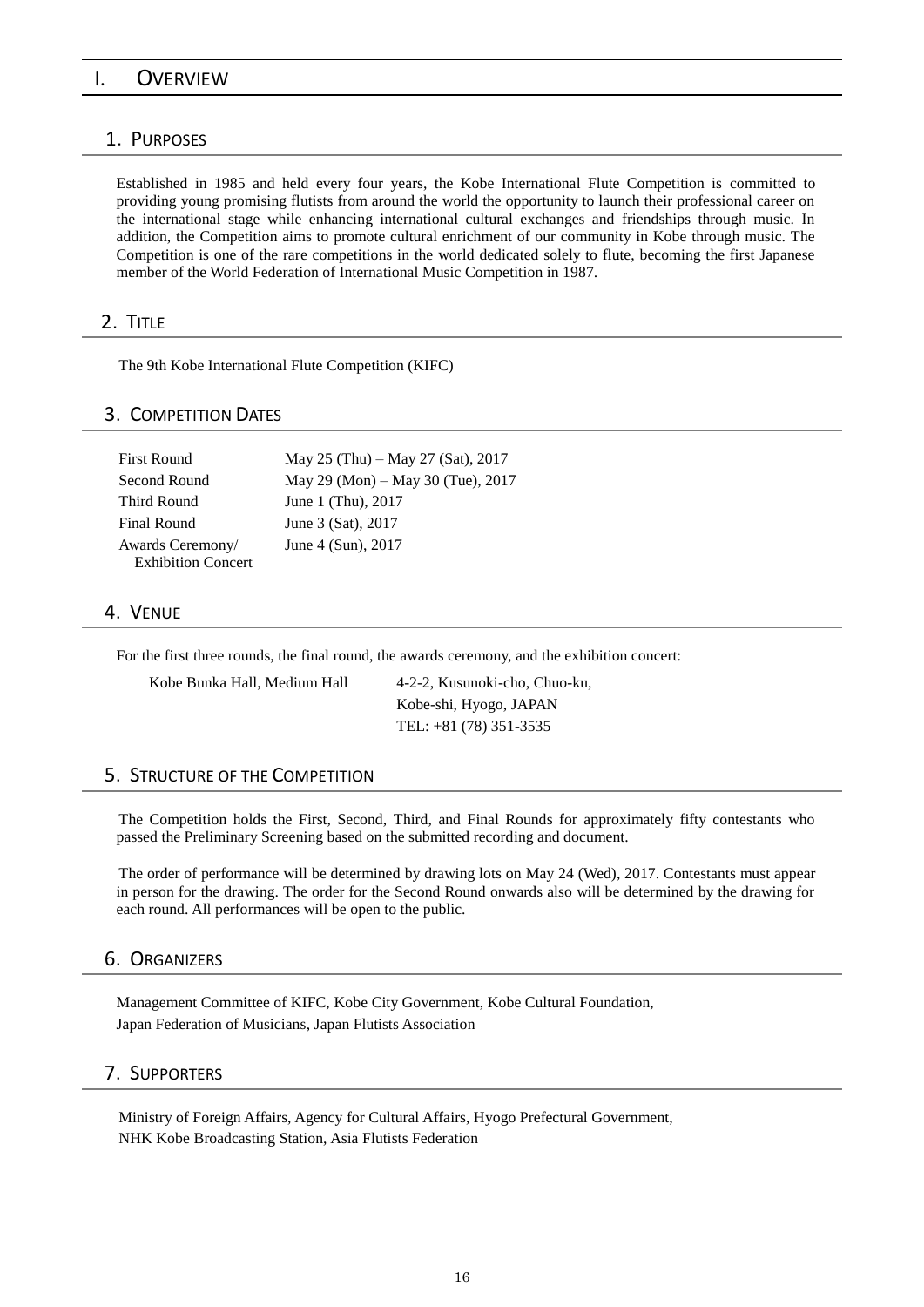## I. OVERVIEW

### 1.PURPOSES

Established in 1985 and held every four years, the Kobe International Flute Competition is committed to providing young promising flutists from around the world the opportunity to launch their professional career on the international stage while enhancing international cultural exchanges and friendships through music. In addition, the Competition aims to promote cultural enrichment of our community in Kobe through music. The Competition is one of the rare competitions in the world dedicated solely to flute, becoming the first Japanese member of the World Federation of International Music Competition in 1987.

#### 2.TITLE

The 9th Kobe International Flute Competition (KIFC)

#### 3.COMPETITION DATES

| First Round               | May 25 (Thu) – May 27 (Sat), 2017 |
|---------------------------|-----------------------------------|
| Second Round              | May 29 (Mon) – May 30 (Tue), 2017 |
| Third Round               | June 1 (Thu), 2017                |
| Final Round               | June 3 (Sat), 2017                |
| Awards Ceremony/          | June 4 (Sun), 2017                |
| <b>Exhibition Concert</b> |                                   |

## 4.VENUE

For the first three rounds, the final round, the awards ceremony, and the exhibition concert:

Kobe Bunka Hall, Medium Hall 4-2-2, Kusunoki-cho, Chuo-ku, Kobe-shi, Hyogo, JAPAN TEL: +81 (78) 351-3535

## 5.STRUCTURE OF THE COMPETITION

The Competition holds the First, Second, Third, and Final Rounds for approximately fifty contestants who passed the Preliminary Screening based on the submitted recording and document.

The order of performance will be determined by drawing lots on May 24 (Wed), 2017. Contestants must appear in person for the drawing. The order for the Second Round onwards also will be determined by the drawing for each round. All performances will be open to the public.

#### 6.ORGANIZERS

Management Committee of KIFC, Kobe City Government, Kobe Cultural Foundation, Japan Federation of Musicians, Japan Flutists Association

## 7.SUPPORTERS

Ministry of Foreign Affairs, Agency for Cultural Affairs, Hyogo Prefectural Government, NHK Kobe Broadcasting Station, Asia Flutists Federation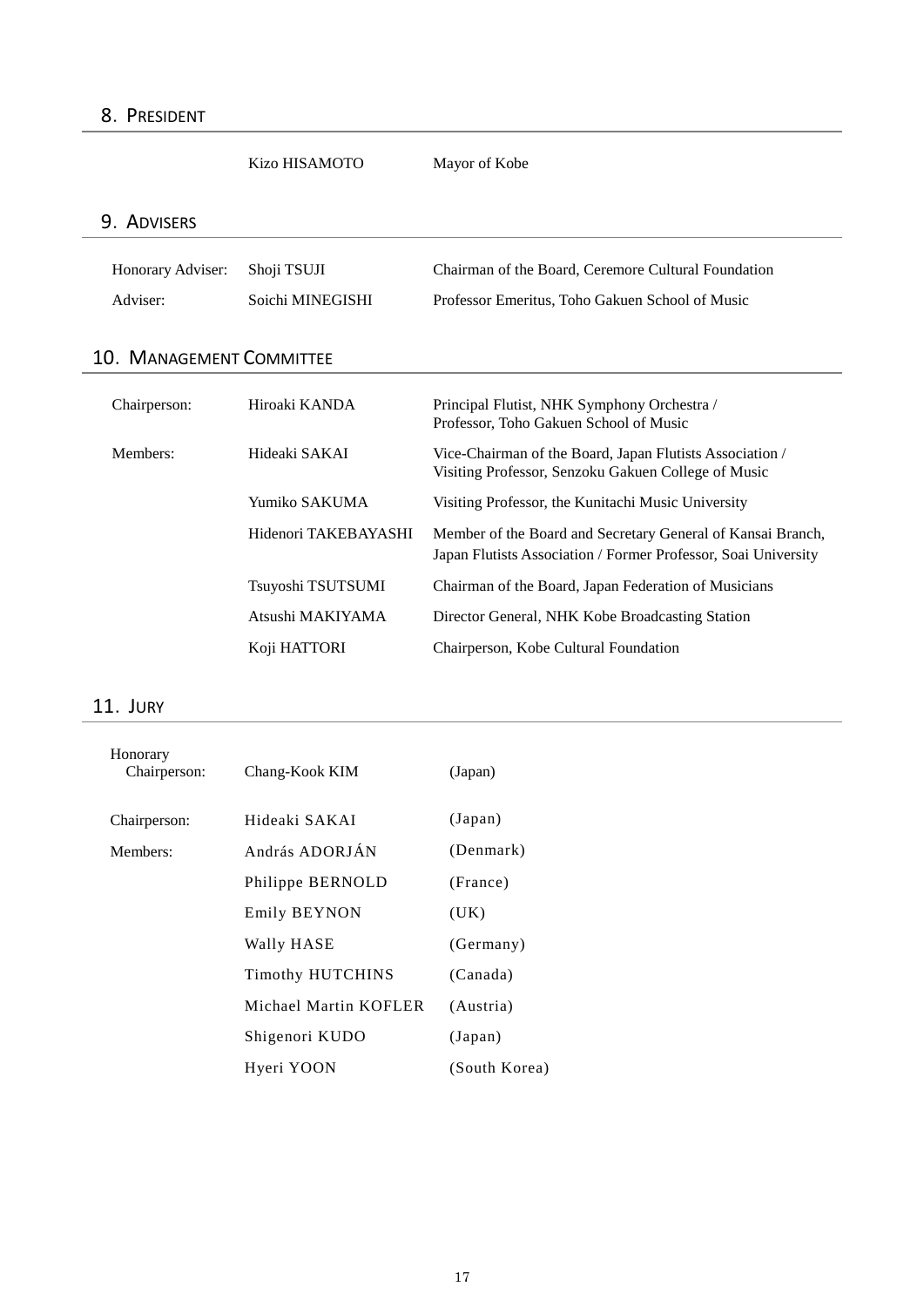Kizo HISAMOTO Mayor of Kobe

# 9.ADVISERS

| Honorary Adviser: Shoji TSUJI |                  | Chairman of the Board, Ceremore Cultural Foundation |
|-------------------------------|------------------|-----------------------------------------------------|
| Adviser:                      | Soichi MINEGISHI | Professor Emeritus, Toho Gakuen School of Music     |

# 10. MANAGEMENT COMMITTEE

| Chairperson: | Hiroaki KANDA        | Principal Flutist, NHK Symphony Orchestra /<br>Professor, Toho Gakuen School of Music                                         |
|--------------|----------------------|-------------------------------------------------------------------------------------------------------------------------------|
| Members:     | Hideaki SAKAI        | Vice-Chairman of the Board, Japan Flutists Association /<br>Visiting Professor, Senzoku Gakuen College of Music               |
|              | Yumiko SAKUMA        | Visiting Professor, the Kunitachi Music University                                                                            |
|              | Hidenori TAKEBAYASHI | Member of the Board and Secretary General of Kansai Branch,<br>Japan Flutists Association / Former Professor, Soai University |
|              | Tsuyoshi TSUTSUMI    | Chairman of the Board, Japan Federation of Musicians                                                                          |
|              | Atsushi MAKIYAMA     | Director General, NHK Kobe Broadcasting Station                                                                               |
|              | Koji HATTORI         | Chairperson, Kobe Cultural Foundation                                                                                         |

## 11.JURY

| Honorary<br>Chairperson: | Chang-Kook KIM          | (Japan)       |
|--------------------------|-------------------------|---------------|
| Chairperson:             | Hideaki SAKAI           | (Japan)       |
| Members:                 | András ADORJÁN          | (Denmark)     |
|                          | Philippe BERNOLD        | (France)      |
|                          | Emily BEYNON            | (UK)          |
|                          | Wally HASE              | (Germany)     |
|                          | <b>Timothy HUTCHINS</b> | (Canada)      |
|                          | Michael Martin KOFLER   | (Austria)     |
|                          | Shigenori KUDO          | (Japan)       |
|                          | Hyeri YOON              | (South Korea) |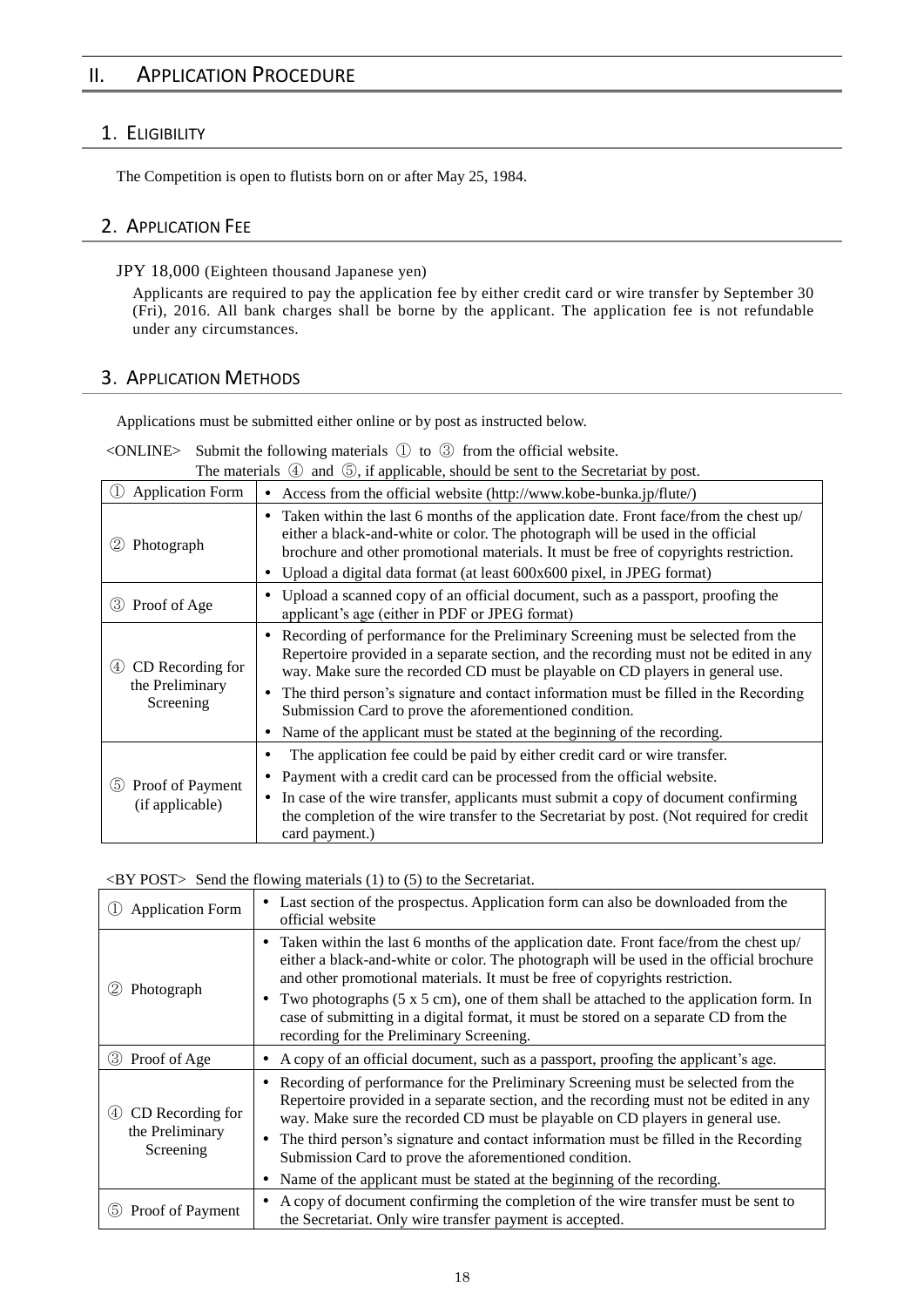## II. APPLICATION PROCEDURE

## 1.ELIGIBILITY

The Competition is open to flutists born on or after May 25, 1984.

## 2.APPLICATION FEE

JPY 18,000 (Eighteen thousand Japanese yen)

Applicants are required to pay the application fee by either credit card or wire transfer by September 30 (Fri), 2016. All bank charges shall be borne by the applicant. The application fee is not refundable under any circumstances.

## 3.APPLICATION METHODS

Applications must be submitted either online or by post as instructed below.

 $\leq$ ONLINE> Submit the following materials  $\circled{1}$  to  $\circled{3}$  from the official website.

The materials  $\circled{4}$  and  $\circled{5}$ , if applicable, should be sent to the Secretariat by post.

| <b>Application Form</b>                                 | Access from the official website (http://www.kobe-bunka.jp/flute/)<br>٠                                                                                                                                                                                                                                                                                                                                                                                                                         |
|---------------------------------------------------------|-------------------------------------------------------------------------------------------------------------------------------------------------------------------------------------------------------------------------------------------------------------------------------------------------------------------------------------------------------------------------------------------------------------------------------------------------------------------------------------------------|
| (2)<br>Photograph                                       | Taken within the last 6 months of the application date. Front face/from the chest up/<br>٠<br>either a black-and-white or color. The photograph will be used in the official<br>brochure and other promotional materials. It must be free of copyrights restriction.<br>Upload a digital data format (at least 600x600 pixel, in JPEG format)<br>٠                                                                                                                                              |
| Proof of Age<br>(3)                                     | Upload a scanned copy of an official document, such as a passport, proofing the<br>٠<br>applicant's age (either in PDF or JPEG format)                                                                                                                                                                                                                                                                                                                                                          |
| CD Recording for<br>(4)<br>the Preliminary<br>Screening | • Recording of performance for the Preliminary Screening must be selected from the<br>Repertoire provided in a separate section, and the recording must not be edited in any<br>way. Make sure the recorded CD must be playable on CD players in general use.<br>The third person's signature and contact information must be filled in the Recording<br>Submission Card to prove the aforementioned condition.<br>Name of the applicant must be stated at the beginning of the recording.<br>٠ |
| 5 Proof of Payment<br>(if applicable)                   | The application fee could be paid by either credit card or wire transfer.<br>٠<br>Payment with a credit card can be processed from the official website.<br>٠<br>In case of the wire transfer, applicants must submit a copy of document confirming<br>$\bullet$<br>the completion of the wire transfer to the Secretariat by post. (Not required for credit<br>card payment.)                                                                                                                  |

## <BY POST> Send the flowing materials (1) to (5) to the Secretariat.

| <b>Application Form</b>                    | • Last section of the prospectus. Application form can also be downloaded from the<br>official website                                                                                                                                                                                                                                                                                                                                                                                                           |  |
|--------------------------------------------|------------------------------------------------------------------------------------------------------------------------------------------------------------------------------------------------------------------------------------------------------------------------------------------------------------------------------------------------------------------------------------------------------------------------------------------------------------------------------------------------------------------|--|
| (2)<br>Photograph                          | Taken within the last 6 months of the application date. Front face/from the chest up/<br>٠<br>either a black-and-white or color. The photograph will be used in the official brochure<br>and other promotional materials. It must be free of copyrights restriction.<br>Two photographs $(5 \times 5 \text{ cm})$ , one of them shall be attached to the application form. In<br>case of submitting in a digital format, it must be stored on a separate CD from the<br>recording for the Preliminary Screening. |  |
| 3 Proof of Age                             | A copy of an official document, such as a passport, proofing the applicant's age.                                                                                                                                                                                                                                                                                                                                                                                                                                |  |
| CD Recording for<br>(4)<br>the Preliminary | • Recording of performance for the Preliminary Screening must be selected from the<br>Repertoire provided in a separate section, and the recording must not be edited in any<br>way. Make sure the recorded CD must be playable on CD players in general use.<br>The third person's signature and contact information must be filled in the Recording<br>٠                                                                                                                                                       |  |
| Screening                                  | Submission Card to prove the aforementioned condition.                                                                                                                                                                                                                                                                                                                                                                                                                                                           |  |
|                                            | Name of the applicant must be stated at the beginning of the recording.                                                                                                                                                                                                                                                                                                                                                                                                                                          |  |
| Proof of Payment<br>(5)                    | A copy of document confirming the completion of the wire transfer must be sent to<br>٠<br>the Secretariat. Only wire transfer payment is accepted.                                                                                                                                                                                                                                                                                                                                                               |  |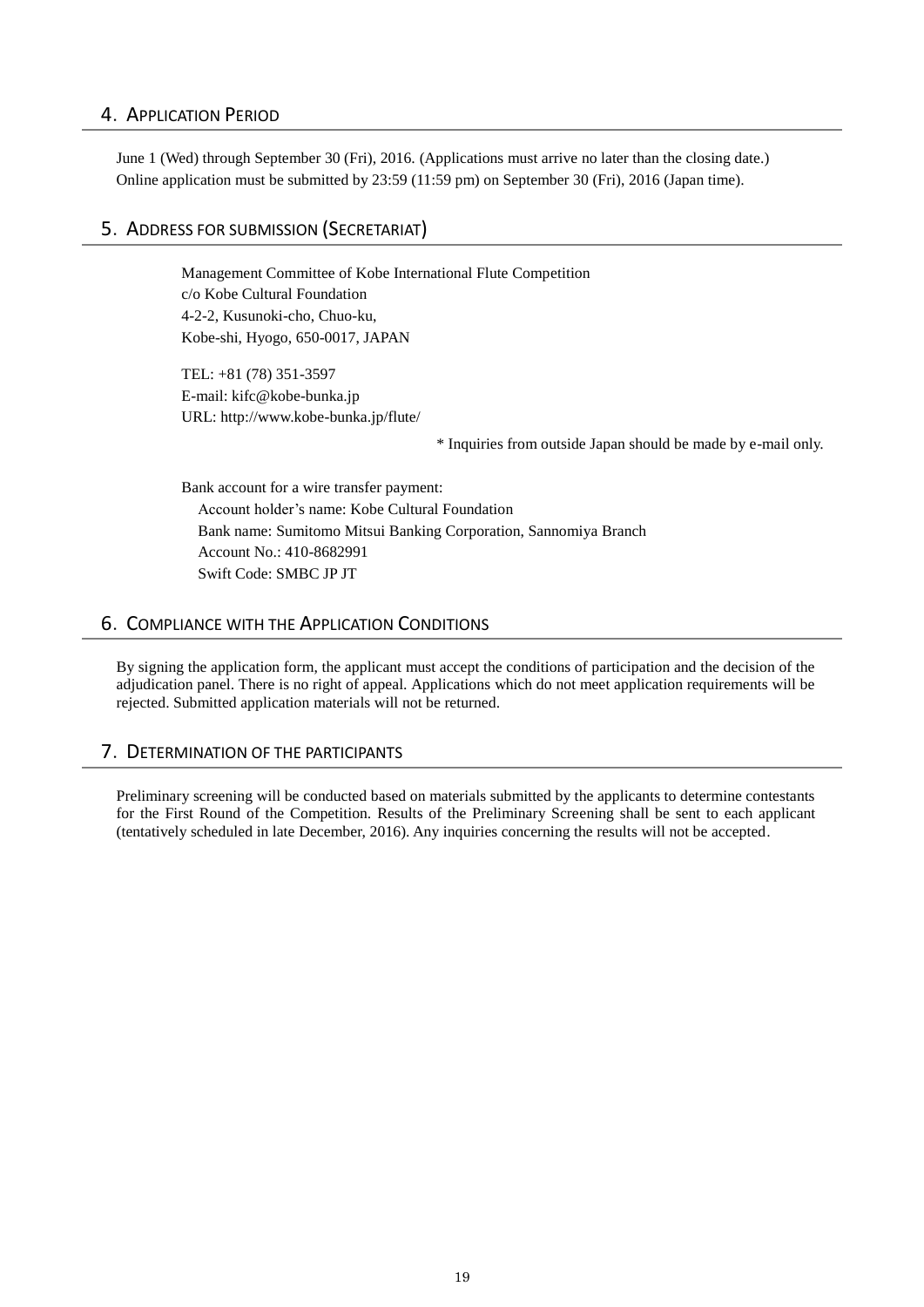## 4.APPLICATION PERIOD

June 1 (Wed) through September 30 (Fri), 2016. (Applications must arrive no later than the closing date.) Online application must be submitted by 23:59 (11:59 pm) on September 30 (Fri), 2016 (Japan time).

## 5.ADDRESS FOR SUBMISSION (SECRETARIAT)

Management Committee of Kobe International Flute Competition c/o Kobe Cultural Foundation 4-2-2, Kusunoki-cho, Chuo-ku, Kobe-shi, Hyogo, 650-0017, JAPAN

TEL: +81 (78) 351-3597 E-mail: kifc@kobe-bunka.jp URL: http://www.kobe-bunka.jp/flute/

\* Inquiries from outside Japan should be made by e-mail only.

Bank account for a wire transfer payment: Account holder's name: Kobe Cultural Foundation Bank name: Sumitomo Mitsui Banking Corporation, Sannomiya Branch Account No.: 410-8682991 Swift Code: SMBC JP JT

## 6.COMPLIANCE WITH THE APPLICATION CONDITIONS

By signing the application form, the applicant must accept the conditions of participation and the decision of the adjudication panel. There is no right of appeal. Applications which do not meet application requirements will be rejected. Submitted application materials will not be returned.

## 7.DETERMINATION OF THE PARTICIPANTS

Preliminary screening will be conducted based on materials submitted by the applicants to determine contestants for the First Round of the Competition. Results of the Preliminary Screening shall be sent to each applicant (tentatively scheduled in late December, 2016). Any inquiries concerning the results will not be accepted.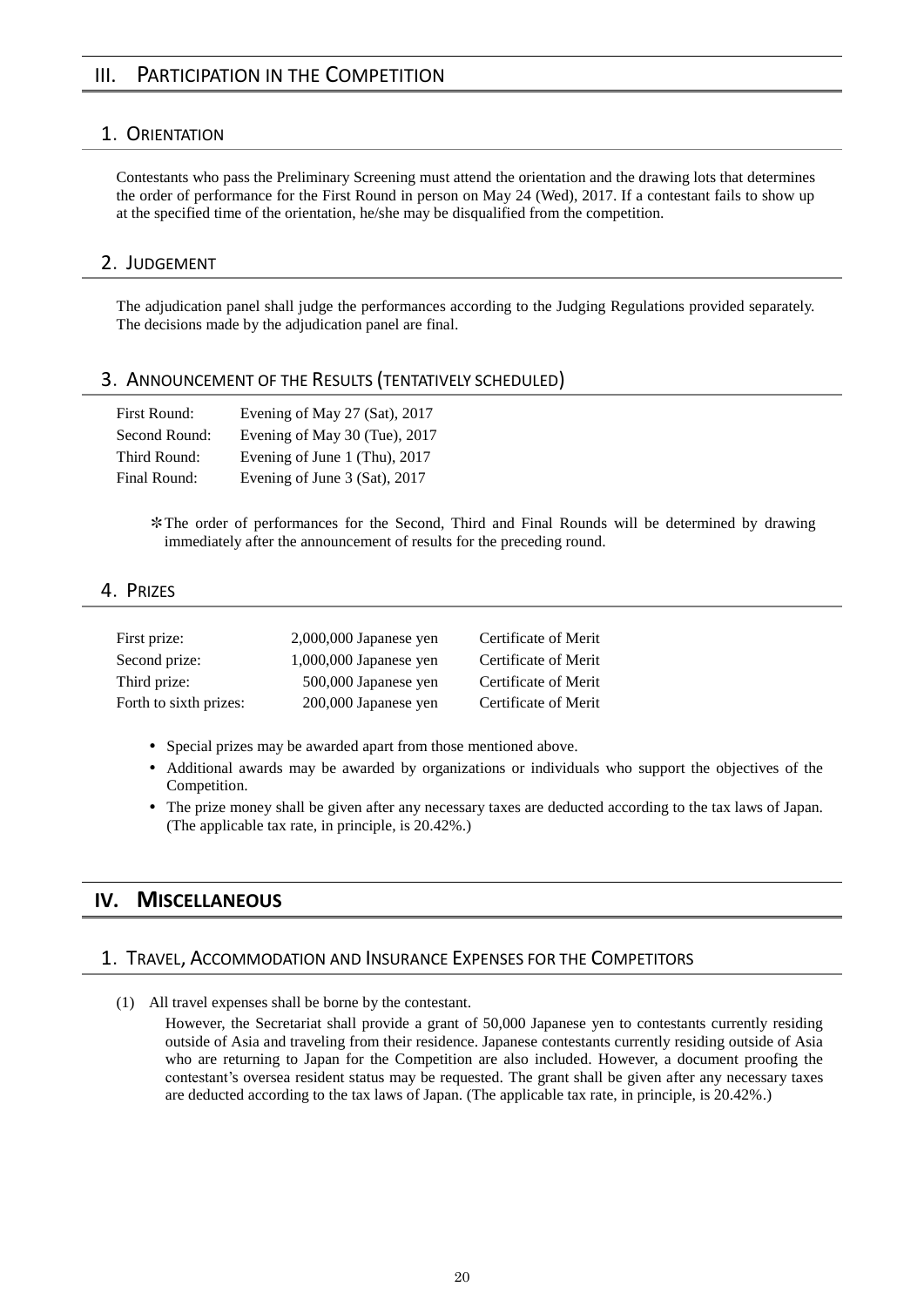## III. PARTICIPATION IN THE COMPETITION

## 1.ORIENTATION

Contestants who pass the Preliminary Screening must attend the orientation and the drawing lots that determines the order of performance for the First Round in person on May 24 (Wed), 2017. If a contestant fails to show up at the specified time of the orientation, he/she may be disqualified from the competition.

#### 2.JUDGEMENT

The adjudication panel shall judge the performances according to the Judging Regulations provided separately. The decisions made by the adjudication panel are final.

#### 3.ANNOUNCEMENT OF THE RESULTS (TENTATIVELY SCHEDULED)

| <b>First Round:</b> | Evening of May 27 (Sat), 2017 |
|---------------------|-------------------------------|
| Second Round:       | Evening of May 30 (Tue), 2017 |
| Third Round:        | Evening of June 1 (Thu), 2017 |
| Final Round:        | Evening of June 3 (Sat), 2017 |

✻The order of performances for the Second, Third and Final Rounds will be determined by drawing immediately after the announcement of results for the preceding round.

#### 4.PRIZES

| First prize:           | $2,000,000$ Japanese yen | Certificate of Merit |
|------------------------|--------------------------|----------------------|
| Second prize:          | $1,000,000$ Japanese yen | Certificate of Merit |
| Third prize:           | 500,000 Japanese yen     | Certificate of Merit |
| Forth to sixth prizes: | 200,000 Japanese yen     | Certificate of Merit |

- Special prizes may be awarded apart from those mentioned above.
- Additional awards may be awarded by organizations or individuals who support the objectives of the Competition.
- The prize money shall be given after any necessary taxes are deducted according to the tax laws of Japan. (The applicable tax rate, in principle, is 20.42%.)

## **IV. MISCELLANEOUS**

#### 1.TRAVEL, ACCOMMODATION AND INSURANCE EXPENSES FOR THE COMPETITORS

(1) All travel expenses shall be borne by the contestant.

However, the Secretariat shall provide a grant of 50,000 Japanese yen to contestants currently residing outside of Asia and traveling from their residence. Japanese contestants currently residing outside of Asia who are returning to Japan for the Competition are also included. However, a document proofing the contestant's oversea resident status may be requested. The grant shall be given after any necessary taxes are deducted according to the tax laws of Japan. (The applicable tax rate, in principle, is 20.42%.)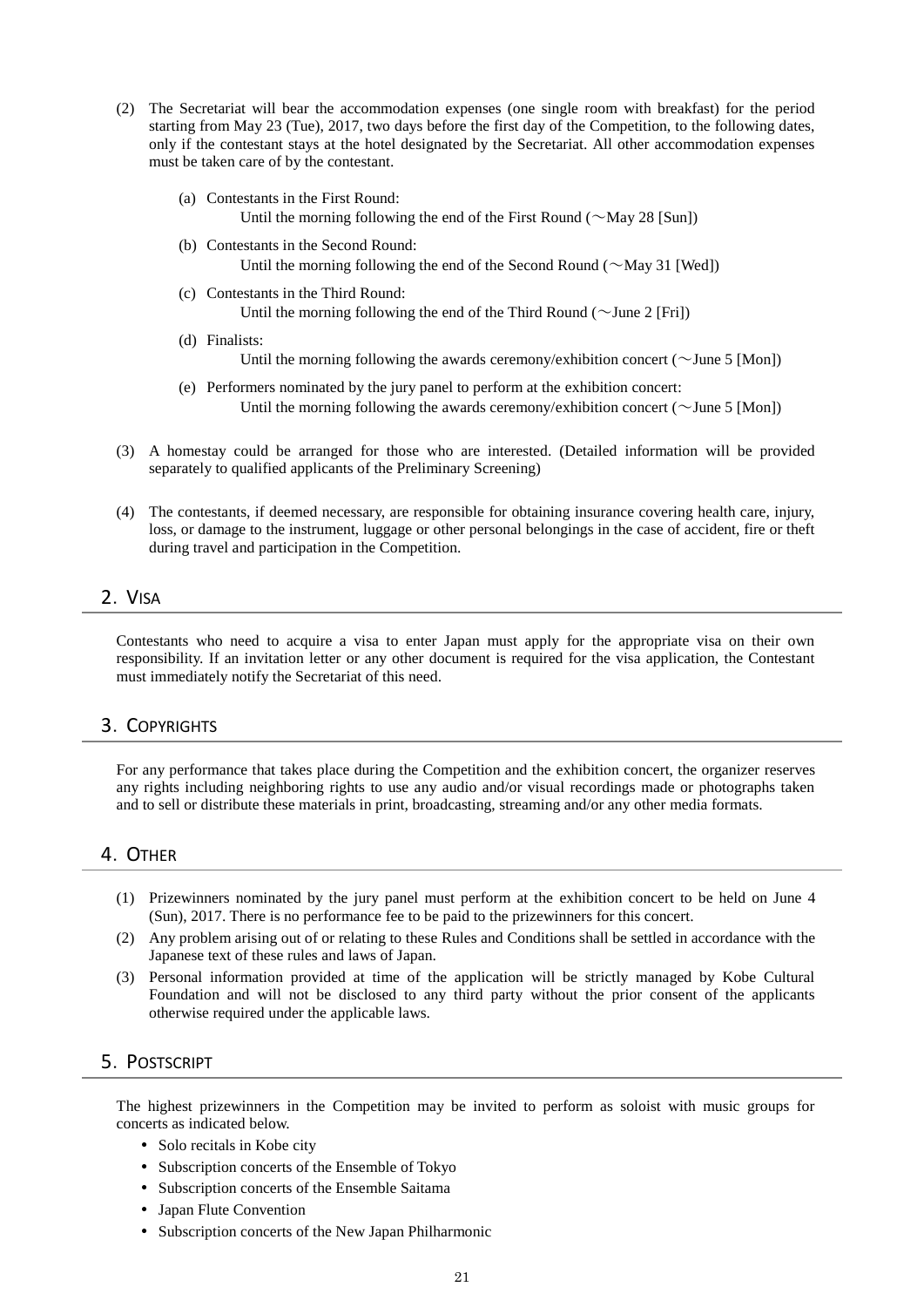- (2) The Secretariat will bear the accommodation expenses (one single room with breakfast) for the period starting from May 23 (Tue), 2017, two days before the first day of the Competition, to the following dates, only if the contestant stays at the hotel designated by the Secretariat. All other accommodation expenses must be taken care of by the contestant.
	- (a) Contestants in the First Round:
		- Until the morning following the end of the First Round ( $\sim$ May 28 [Sun])
	- (b) Contestants in the Second Round: Until the morning following the end of the Second Round ( $\sim$ May 31 [Wed])
	- (c) Contestants in the Third Round: Until the morning following the end of the Third Round ( $\sim$ June 2 [Fri])
	- (d) Finalists:

Until the morning following the awards ceremony/exhibition concert ( $\sim$ June 5 [Mon])

- (e) Performers nominated by the jury panel to perform at the exhibition concert: Until the morning following the awards ceremony/exhibition concert ( $\sim$ June 5 [Mon])
- (3) A homestay could be arranged for those who are interested. (Detailed information will be provided separately to qualified applicants of the Preliminary Screening)
- (4) The contestants, if deemed necessary, are responsible for obtaining insurance covering health care, injury, loss, or damage to the instrument, luggage or other personal belongings in the case of accident, fire or theft during travel and participation in the Competition.

#### 2.VISA

Contestants who need to acquire a visa to enter Japan must apply for the appropriate visa on their own responsibility. If an invitation letter or any other document is required for the visa application, the Contestant must immediately notify the Secretariat of this need.

#### 3.COPYRIGHTS

For any performance that takes place during the Competition and the exhibition concert, the organizer reserves any rights including neighboring rights to use any audio and/or visual recordings made or photographs taken and to sell or distribute these materials in print, broadcasting, streaming and/or any other media formats.

#### 4.OTHER

- (1) Prizewinners nominated by the jury panel must perform at the exhibition concert to be held on June 4 (Sun), 2017. There is no performance fee to be paid to the prizewinners for this concert.
- (2) Any problem arising out of or relating to these Rules and Conditions shall be settled in accordance with the Japanese text of these rules and laws of Japan.
- (3) Personal information provided at time of the application will be strictly managed by Kobe Cultural Foundation and will not be disclosed to any third party without the prior consent of the applicants otherwise required under the applicable laws.

## 5.POSTSCRIPT

The highest prizewinners in the Competition may be invited to perform as soloist with music groups for concerts as indicated below.

- Solo recitals in Kobe city
- Subscription concerts of the Ensemble of Tokyo
- Subscription concerts of the Ensemble Saitama
- Japan Flute Convention
- Subscription concerts of the New Japan Philharmonic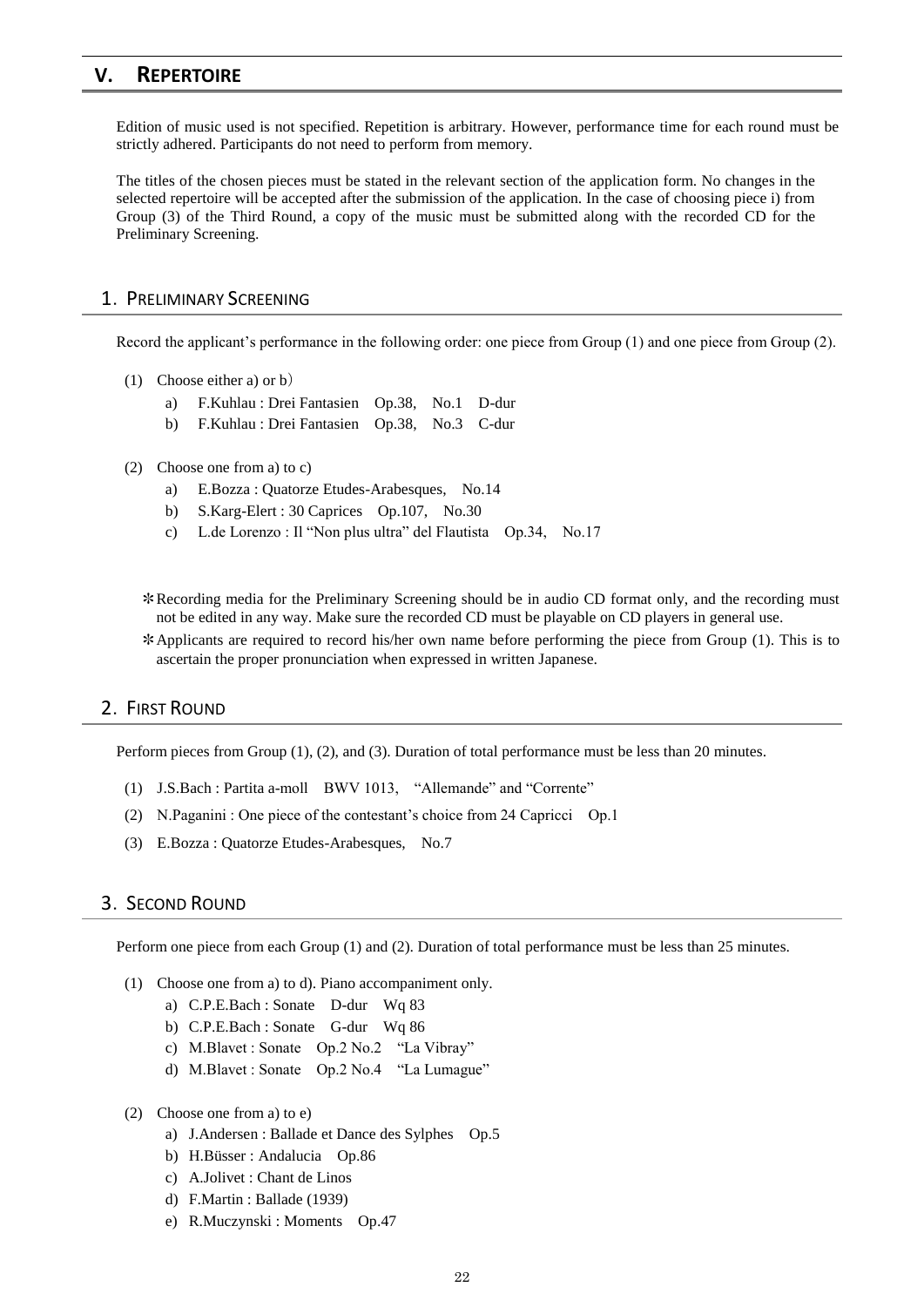## **V. REPERTOIRE**

Edition of music used is not specified. Repetition is arbitrary. However, performance time for each round must be strictly adhered. Participants do not need to perform from memory.

The titles of the chosen pieces must be stated in the relevant section of the application form. No changes in the selected repertoire will be accepted after the submission of the application. In the case of choosing piece i) from Group (3) of the Third Round, a copy of the music must be submitted along with the recorded CD for the Preliminary Screening.

#### 1.PRELIMINARY SCREENING

Record the applicant's performance in the following order: one piece from Group (1) and one piece from Group (2).

- (1) Choose either a) or b)
	- a) F.Kuhlau : Drei Fantasien Op.38, No.1 D-dur
	- b) F.Kuhlau : Drei Fantasien Op.38, No.3 C-dur
- (2) Choose one from a) to c)
	- a) E.Bozza : Quatorze Etudes-Arabesques, No.14
	- b) S.Karg-Elert : 30 Caprices Op.107, No.30
	- c) L.de Lorenzo : Il "Non plus ultra" del Flautista Op.34, No.17

✻Recording media for the Preliminary Screening should be in audio CD format only, and the recording must not be edited in any way. Make sure the recorded CD must be playable on CD players in general use.

✻Applicants are required to record his/her own name before performing the piece from Group (1). This is to ascertain the proper pronunciation when expressed in written Japanese.

## 2.FIRST ROUND

Perform pieces from Group (1), (2), and (3). Duration of total performance must be less than 20 minutes.

- (1) J.S.Bach : Partita a-moll BWV 1013, "Allemande" and "Corrente"
- (2) N.Paganini : One piece of the contestant's choice from 24 Capricci Op.1
- (3) E.Bozza : Quatorze Etudes-Arabesques, No.7

## 3.SECOND ROUND

Perform one piece from each Group (1) and (2). Duration of total performance must be less than 25 minutes.

- (1) Choose one from a) to d). Piano accompaniment only.
	- a) C.P.E.Bach : Sonate D-dur Wq 83
	- b) C.P.E.Bach : Sonate G-dur Wq 86
	- c) M.Blavet : Sonate Op.2 No.2 "La Vibray"
	- d) M.Blavet : Sonate Op.2 No.4 "La Lumague"
- (2) Choose one from a) to e)
	- a) J.Andersen : Ballade et Dance des Sylphes Op.5
	- b) H.Büsser : Andalucia Op.86
	- c) A.Jolivet : Chant de Linos
	- d) F.Martin : Ballade (1939)
	- e) R.Muczynski : Moments Op.47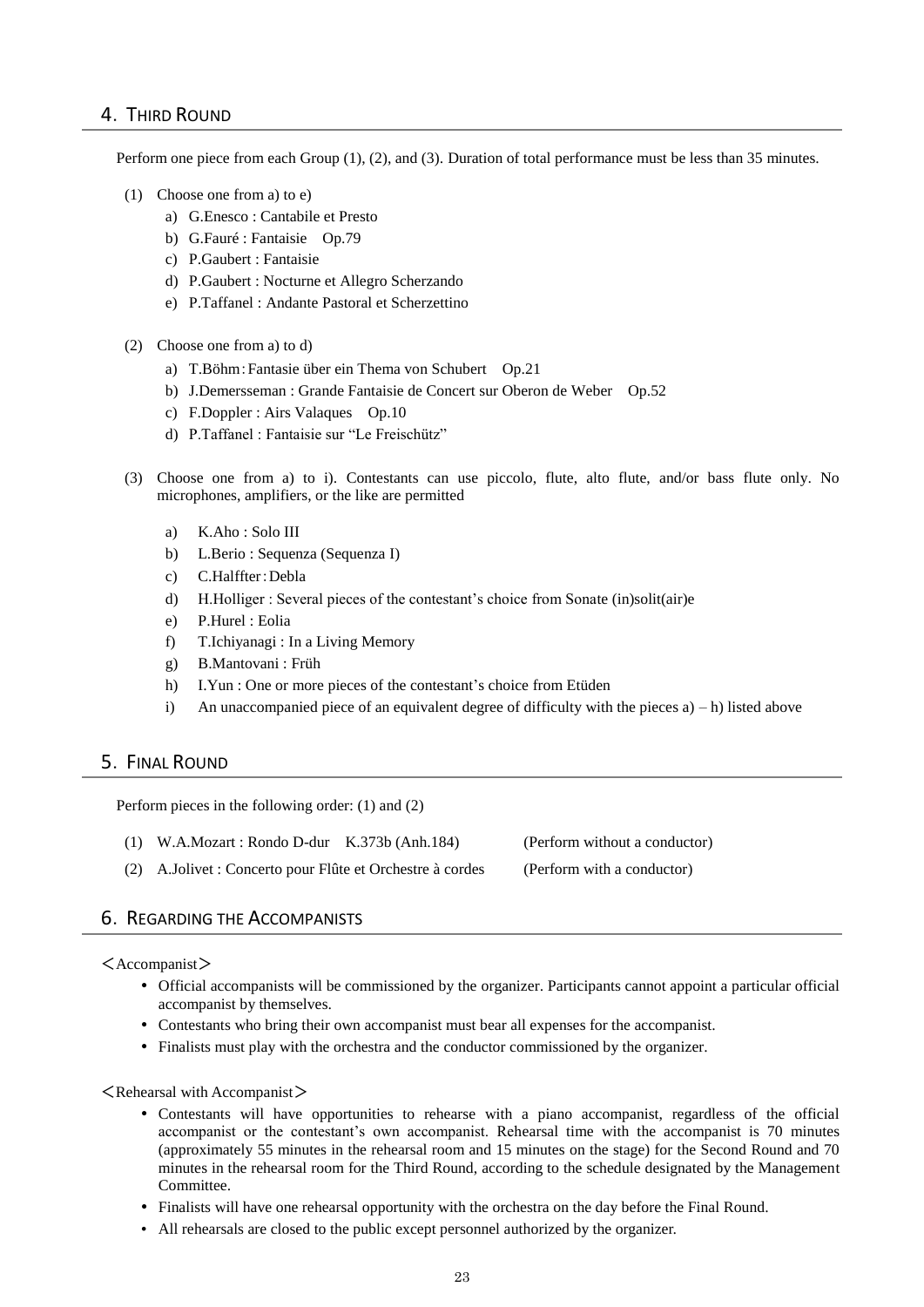## 4.THIRD ROUND

Perform one piece from each Group (1), (2), and (3). Duration of total performance must be less than 35 minutes.

- (1) Choose one from a) to e)
	- a) G.Enesco : Cantabile et Presto
	- b) G.Fauré : Fantaisie Op.79
	- c) P.Gaubert : Fantaisie
	- d) P.Gaubert : Nocturne et Allegro Scherzando
	- e) P.Taffanel : Andante Pastoral et Scherzettino
- (2) Choose one from a) to d)
	- a) T.Böhm:Fantasie über ein Thema von Schubert Op.21
	- b) J.Demersseman : Grande Fantaisie de Concert sur Oberon de Weber Op.52
	- c) F.Doppler : Airs Valaques Op.10
	- d) P.Taffanel : Fantaisie sur "Le Freischütz"
- (3) Choose one from a) to i). Contestants can use piccolo, flute, alto flute, and/or bass flute only. No microphones, amplifiers, or the like are permitted
	- a) K.Aho : Solo III
	- b) L.Berio : Sequenza (Sequenza I)
	- c) C.Halffter:Debla
	- d) H.Holliger : Several pieces of the contestant's choice from Sonate (in)solit(air)e
	- e) P.Hurel : Eolia
	- f) T.Ichiyanagi : In a Living Memory
	- g) B.Mantovani : Früh
	- h) I.Yun : One or more pieces of the contestant's choice from Etüden
	- i) An unaccompanied piece of an equivalent degree of difficulty with the pieces  $a$ ) h) listed above

## 5.FINAL ROUND

Perform pieces in the following order: (1) and (2)

- (1) W.A.Mozart : Rondo D-dur K.373b (Anh.184) (Perform without a conductor)
- (2) A.Jolivet : Concerto pour Flûte et Orchestre à cordes (Perform with a conductor)

## **6. REGARDING THE ACCOMPANISTS**

#### $\langle$ Accompanist $\rangle$

- Official accompanists will be commissioned by the organizer. Participants cannot appoint a particular official accompanist by themselves.
- Contestants who bring their own accompanist must bear all expenses for the accompanist.
- Finalists must play with the orchestra and the conductor commissioned by the organizer.

 $\leq$ Rehearsal with Accompanist $>$ 

- Contestants will have opportunities to rehearse with a piano accompanist, regardless of the official accompanist or the contestant's own accompanist. Rehearsal time with the accompanist is 70 minutes (approximately 55 minutes in the rehearsal room and 15 minutes on the stage) for the Second Round and 70 minutes in the rehearsal room for the Third Round, according to the schedule designated by the Management Committee.
- Finalists will have one rehearsal opportunity with the orchestra on the day before the Final Round.
- All rehearsals are closed to the public except personnel authorized by the organizer.